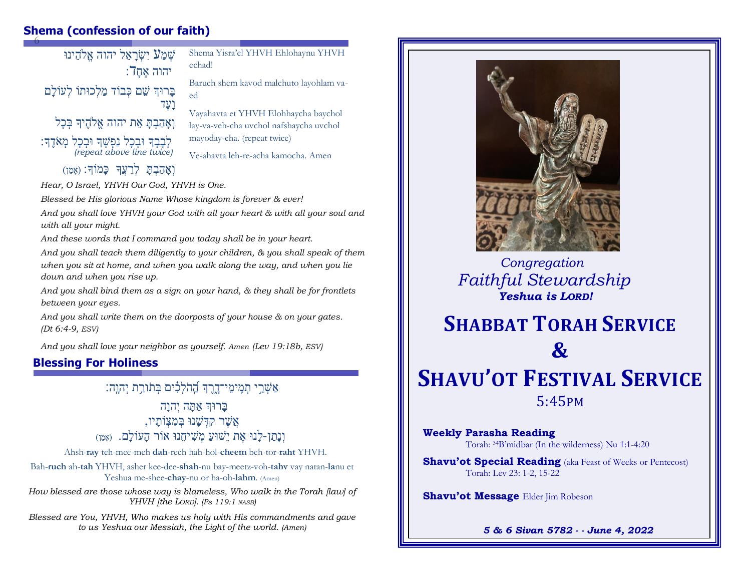#### 6 **Shema (confession of our faith)**

שְׁמַע יִשְׂרָאֵל יהוה אֱלֹהֵינוּ  $\overline{\phantom{a}}$ יהוה אח בָרוּךְ שֵׁם כְּבוֹד מַלְכוּתוֹ לְעוֹלַם וָעֶדַ וְאֲהָבְהַ אֶת יהוה אֱלֹהֶיִךָּ בְּכַל לְּבָבְךָ וּבְכָל נַפְּשָׁךָ וּבְכָל מְאֹדֶךָ: *(repeat above line twice)*  וְאֲהָבְתַ לְרֵעֲךָ כָּמוֹךָ: (אֶמֶן)

Shema Yisra'el YHVH Ehlohaynu YHVH echad!

Baruch shem kavod malchuto layohlam vaed

Vayahavta et YHVH Elohhaycha baychol lay-va-veh-cha uvchol nafshaycha uvchol mayoday-cha. (repeat twice)

Ve-ahavta leh-re-acha kamocha. Amen

*Hear, O Israel, YHVH Our God, YHVH is One.*

*Blessed be His glorious Name Whose kingdom is forever & ever!*

*And you shall love YHVH your God with all your heart & with all your soul and with all your might.*

*And these words that I command you today shall be in your heart.*

*And you shall teach them diligently to your children, & you shall speak of them when you sit at home, and when you walk along the way, and when you lie down and when you rise up.*

*And you shall bind them as a sign on your hand, & they shall be for frontlets between your eyes.*

*And you shall write them on the doorposts of your house & on your gates. (Dt 6:4-9, ESV)*

*And you shall love your neighbor as yourself. Amen (Lev 19:18b, ESV)* 

#### **Blessing For Holiness**

אַשָּׁרֵי תִּמֵימֵי־דַרֵּךְ הֲהֹלְכָים בְּתֹורֵת יְהוֵה:

ַבְרוּךְ אַתָּה יְהוַה אֲשֶ רַקִ דְׁ שָ נוַבְׁ מִ צְׁ ֹותָ יו, וְנָתַן-לָנוּ אֶת יֵשׁוּעַ מְשִׁיחֵנוּ אוֹר הַעוֹלַם. (אַמֵן)

Ahsh-**ray** teh-mee-meh **dah**-rech hah-hol-**cheem** beh-tor-**raht** YHVH.

Bah-**ruch** ah-**tah** YHVH, asher kee-dee-**shah**-nu bay-meetz-voh-**tahv** vay natan-**la**nu et Yeshua me-shee-**chay**-nu or ha-oh-**lahm**. (Amen)

*How blessed are those whose way is blameless, Who walk in the Torah [law] of YHVH [the LORD]. (Ps 119:1 NASB)*

*Blessed are You, YHVH, Who makes us holy with His commandments and gave to us Yeshua our Messiah, the Light of the world. (Amen)*



 *Congregation Faithful Stewardship Yeshua is LORD!*

# **SHABBAT TORAH SERVICE &**

## **SHAVU'OT FESTIVAL SERVICE** 5:45PM

**Weekly Parasha Reading** Torah: <sup>34</sup>B'midbar (In the wilderness) Nu 1:1-4:20

**Shavu'ot Special Reading** (aka Feast of Weeks or Pentecost) Torah: Lev 23: 1-2, 15-22

**Shavu'ot Message Elder Jim Robeson** 

*5 & 6 Sivan 5782 - - June 4, 2022*